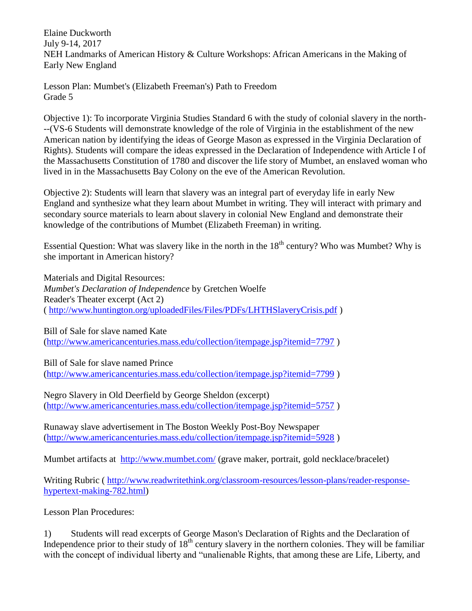Elaine Duckworth July 9-14, 2017 NEH Landmarks of American History & Culture Workshops: African Americans in the Making of Early New England

Lesson Plan: Mumbet's (Elizabeth Freeman's) Path to Freedom Grade 5

Objective 1): To incorporate Virginia Studies Standard 6 with the study of colonial slavery in the north- --(VS-6 Students will demonstrate knowledge of the role of Virginia in the establishment of the new American nation by identifying the ideas of George Mason as expressed in the Virginia Declaration of Rights). Students will compare the ideas expressed in the Declaration of Independence with Article I of the Massachusetts Constitution of 1780 and discover the life story of Mumbet, an enslaved woman who lived in in the Massachusetts Bay Colony on the eve of the American Revolution.

Objective 2): Students will learn that slavery was an integral part of everyday life in early New England and synthesize what they learn about Mumbet in writing. They will interact with primary and secondary source materials to learn about slavery in colonial New England and demonstrate their knowledge of the contributions of Mumbet (Elizabeth Freeman) in writing.

Essential Question: What was slavery like in the north in the  $18<sup>th</sup>$  century? Who was Mumbet? Why is she important in American history?

Materials and Digital Resources: *Mumbet's Declaration of Independence* by Gretchen Woelfe Reader's Theater excerpt (Act 2) (<http://www.huntington.org/uploadedFiles/Files/PDFs/LHTHSlaveryCrisis.pdf> )

Bill of Sale for slave named Kate [\(http://www.americancenturies.mass.edu/collection/itempage.jsp?itemid=7797](http://www.americancenturies.mass.edu/collection/itempage.jsp?itemid=7797) )

Bill of Sale for slave named Prince

[\(http://www.americancenturies.mass.edu/collection/itempage.jsp?itemid=7799](http://www.americancenturies.mass.edu/collection/itempage.jsp?itemid=7799) )

Negro Slavery in Old Deerfield by George Sheldon (excerpt) [\(http://www.americancenturies.mass.edu/collection/itempage.jsp?itemid=5757](http://www.americancenturies.mass.edu/collection/itempage.jsp?itemid=5757) )

Runaway slave advertisement in The Boston Weekly Post-Boy Newspaper [\(http://www.americancenturies.mass.edu/collection/itempage.jsp?itemid=5928](http://www.americancenturies.mass.edu/collection/itempage.jsp?itemid=5928) )

Mumbet artifacts at <http://www.mumbet.com/> (grave maker, portrait, gold necklace/bracelet)

Writing Rubric ( [http://www.readwritethink.org/classroom-resources/lesson-plans/reader-response](http://www.readwritethink.org/classroom-resources/lesson-plans/reader-response-hypertext-making-782.html)[hypertext-making-782.html\)](http://www.readwritethink.org/classroom-resources/lesson-plans/reader-response-hypertext-making-782.html)

Lesson Plan Procedures:

1) Students will read excerpts of George Mason's Declaration of Rights and the Declaration of Independence prior to their study of  $18<sup>th</sup>$  century slavery in the northern colonies. They will be familiar with the concept of individual liberty and "unalienable Rights, that among these are Life, Liberty, and